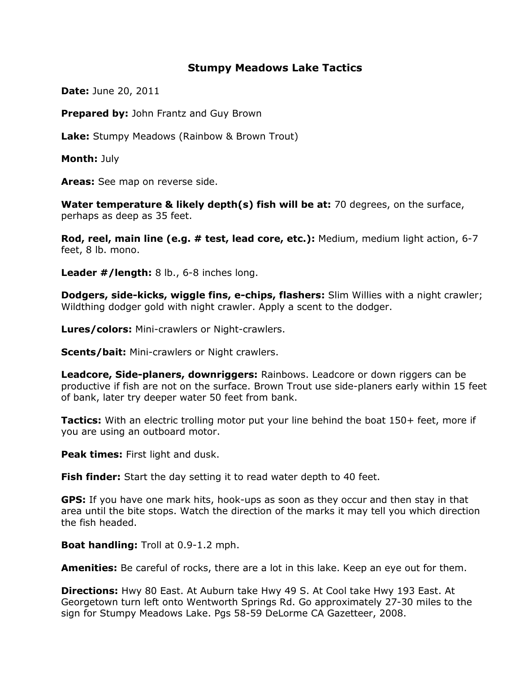## Stumpy Meadows Lake Tactics

**Date: June 20, 2011** 

**Prepared by: John Frantz and Guy Brown** 

Lake: Stumpy Meadows (Rainbow & Brown Trout)

Month: July

Areas: See map on reverse side.

Water temperature & likely depth(s) fish will be at: 70 degrees, on the surface, perhaps as deep as 35 feet.

Rod, reel, main line (e.g. # test, lead core, etc.): Medium, medium light action, 6-7 feet, 8 lb. mono.

Leader #/length: 8 lb., 6-8 inches long.

Dodgers, side-kicks, wiggle fins, e-chips, flashers: Slim Willies with a night crawler; Wildthing dodger gold with night crawler. Apply a scent to the dodger.

Lures/colors: Mini-crawlers or Night-crawlers.

**Scents/bait:** Mini-crawlers or Night crawlers.

Leadcore, Side-planers, downriggers: Rainbows. Leadcore or down riggers can be productive if fish are not on the surface. Brown Trout use side-planers early within 15 feet of bank, later try deeper water 50 feet from bank.

Tactics: With an electric trolling motor put your line behind the boat 150+ feet, more if you are using an outboard motor.

Peak times: First light and dusk.

**Fish finder:** Start the day setting it to read water depth to 40 feet.

GPS: If you have one mark hits, hook-ups as soon as they occur and then stay in that area until the bite stops. Watch the direction of the marks it may tell you which direction the fish headed.

Boat handling: Troll at 0.9-1.2 mph.

**Amenities:** Be careful of rocks, there are a lot in this lake. Keep an eye out for them.

**Directions:** Hwy 80 East. At Auburn take Hwy 49 S. At Cool take Hwy 193 East. At Georgetown turn left onto Wentworth Springs Rd. Go approximately 27-30 miles to the sign for Stumpy Meadows Lake. Pgs 58-59 DeLorme CA Gazetteer, 2008.